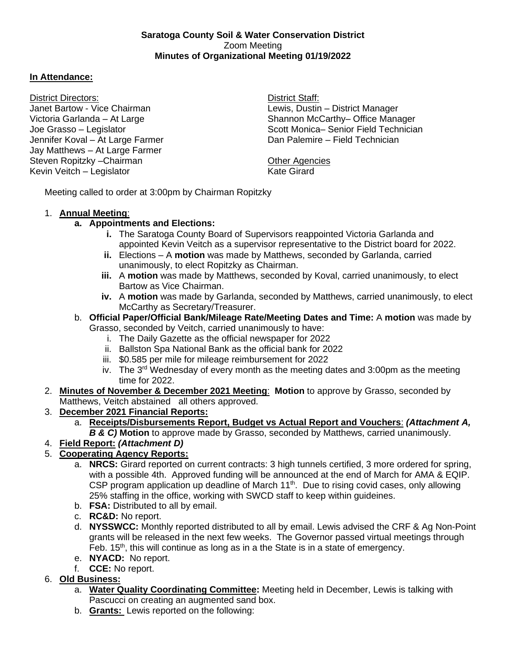#### **Saratoga County Soil & Water Conservation District** Zoom Meeting **Minutes of Organizational Meeting 01/19/2022**

#### **In Attendance:**

District Directors: District Staff: Janet Bartow - Vice Chairman Lewis, Dustin – District Manager Jennifer Koval – At Large Farmer Jay Matthews – At Large Farmer Steven Ropitzky – Chairman Chairman Chairman Chairman Chairman Chairman Chairman Chairman Chairman Chairman Chairman Kevin Veitch – Legislator Kevin Veitch – Legislator Kate Girard

Victoria Garlanda – At Large Shannon McCarthy– Office Manager Joe Grasso – Legislator (Scott Monica– Senior Field Technician Chemican Scott Monica– Senior Field Technician<br>Jennifer Koval – At Large Farmer (Scott Dan Palemire – Field Technician )

Meeting called to order at 3:00pm by Chairman Ropitzky

### 1. **Annual Meeting**:

## **a. Appointments and Elections:**

- **i.** The Saratoga County Board of Supervisors reappointed Victoria Garlanda and appointed Kevin Veitch as a supervisor representative to the District board for 2022.
- **ii.** Elections A **motion** was made by Matthews, seconded by Garlanda, carried unanimously, to elect Ropitzky as Chairman.
- **iii.** A **motion** was made by Matthews, seconded by Koval, carried unanimously, to elect Bartow as Vice Chairman.
- **iv.** A **motion** was made by Garlanda, seconded by Matthews, carried unanimously, to elect McCarthy as Secretary/Treasurer.
- b. **Official Paper/Official Bank/Mileage Rate/Meeting Dates and Time:** A **motion** was made by Grasso, seconded by Veitch, carried unanimously to have:
	- i. The Daily Gazette as the official newspaper for 2022
	- ii. Ballston Spa National Bank as the official bank for 2022
	- iii. \$0.585 per mile for mileage reimbursement for 2022
	- iv. The  $3<sup>rd</sup>$  Wednesday of every month as the meeting dates and 3:00pm as the meeting time for 2022.
- 2. **Minutes of November & December 2021 Meeting**: **Motion** to approve by Grasso, seconded by Matthews, Veitch abstained all others approved.
- 3. **December 2021 Financial Reports:**
	- a. **Receipts/Disbursements Report, Budget vs Actual Report and Vouchers**: *(Attachment A, B & C)* **Motion** to approve made by Grasso, seconded by Matthews, carried unanimously.
- 4. **Field Report:** *(Attachment D)*

# 5. **Cooperating Agency Reports:**

- a. **NRCS:** Girard reported on current contracts: 3 high tunnels certified, 3 more ordered for spring, with a possible 4th. Approved funding will be announced at the end of March for AMA & EQIP. CSP program application up deadline of March  $11<sup>th</sup>$ . Due to rising covid cases, only allowing 25% staffing in the office, working with SWCD staff to keep within guideines.
- b. **FSA:** Distributed to all by email.
- c. **RC&D:** No report.
- d. **NYSSWCC:** Monthly reported distributed to all by email. Lewis advised the CRF & Ag Non-Point grants will be released in the next few weeks. The Governor passed virtual meetings through Feb.  $15<sup>th</sup>$ , this will continue as long as in a the State is in a state of emergency.
- e. **NYACD:** No report.
- f. **CCE:** No report.

# 6. **Old Business:**

- a. **Water Quality Coordinating Committee:** Meeting held in December, Lewis is talking with Pascucci on creating an augmented sand box.
- b. **Grants:** Lewis reported on the following: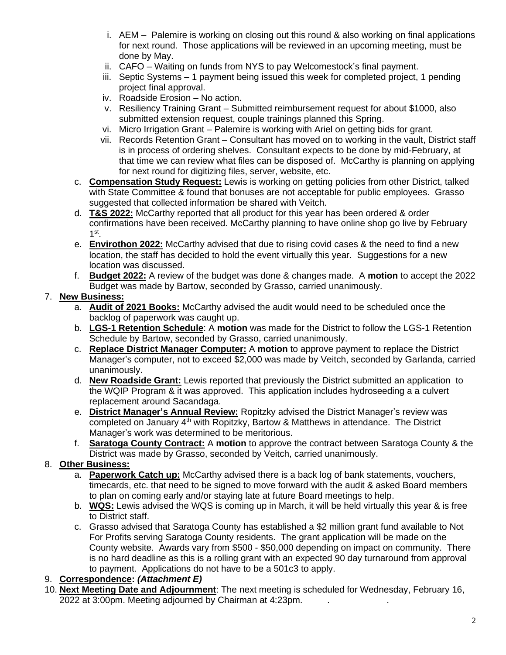- i. AEM Palemire is working on closing out this round & also working on final applications for next round. Those applications will be reviewed in an upcoming meeting, must be done by May.
- ii. CAFO Waiting on funds from NYS to pay Welcomestock's final payment.
- iii. Septic Systems 1 payment being issued this week for completed project, 1 pending project final approval.
- iv. Roadside Erosion No action.
- v. Resiliency Training Grant Submitted reimbursement request for about \$1000, also submitted extension request, couple trainings planned this Spring.
- vi. Micro Irrigation Grant Palemire is working with Ariel on getting bids for grant.
- vii. Records Retention Grant Consultant has moved on to working in the vault, District staff is in process of ordering shelves. Consultant expects to be done by mid-February, at that time we can review what files can be disposed of. McCarthy is planning on applying for next round for digitizing files, server, website, etc.
- c. **Compensation Study Request:** Lewis is working on getting policies from other District, talked with State Committee & found that bonuses are not acceptable for public employees. Grasso suggested that collected information be shared with Veitch.
- d. **T&S 2022:** McCarthy reported that all product for this year has been ordered & order confirmations have been received. McCarthy planning to have online shop go live by February 1 st .
- e. **Envirothon 2022:** McCarthy advised that due to rising covid cases & the need to find a new location, the staff has decided to hold the event virtually this year. Suggestions for a new location was discussed.
- f. **Budget 2022:** A review of the budget was done & changes made. A **motion** to accept the 2022 Budget was made by Bartow, seconded by Grasso, carried unanimously.

### 7. **New Business:**

- a. **Audit of 2021 Books:** McCarthy advised the audit would need to be scheduled once the backlog of paperwork was caught up.
- b. **LGS-1 Retention Schedule**: A **motion** was made for the District to follow the LGS-1 Retention Schedule by Bartow, seconded by Grasso, carried unanimously.
- c. **Replace District Manager Computer:** A **motion** to approve payment to replace the District Manager's computer, not to exceed \$2,000 was made by Veitch, seconded by Garlanda, carried unanimously.
- d. **New Roadside Grant:** Lewis reported that previously the District submitted an application to the WQIP Program & it was approved. This application includes hydroseeding a a culvert replacement around Sacandaga.
- e. **District Manager's Annual Review:** Ropitzky advised the District Manager's review was completed on January 4<sup>th</sup> with Ropitzky, Bartow & Matthews in attendance. The District Manager's work was determined to be meritorious.
- f. **Saratoga County Contract:** A **motion** to approve the contract between Saratoga County & the District was made by Grasso, seconded by Veitch, carried unanimously.

## 8. **Other Business:**

- a. **Paperwork Catch up:** McCarthy advised there is a back log of bank statements, vouchers, timecards, etc. that need to be signed to move forward with the audit & asked Board members to plan on coming early and/or staying late at future Board meetings to help.
- b. **WQS:** Lewis advised the WQS is coming up in March, it will be held virtually this year & is free to District staff.
- c. Grasso advised that Saratoga County has established a \$2 million grant fund available to Not For Profits serving Saratoga County residents. The grant application will be made on the County website. Awards vary from \$500 - \$50,000 depending on impact on community. There is no hard deadline as this is a rolling grant with an expected 90 day turnaround from approval to payment. Applications do not have to be a 501c3 to apply.

## 9. **Correspondence:** *(Attachment E)*

10. **Next Meeting Date and Adjournment**: The next meeting is scheduled for Wednesday, February 16, 2022 at 3:00pm. Meeting adjourned by Chairman at 4:23pm.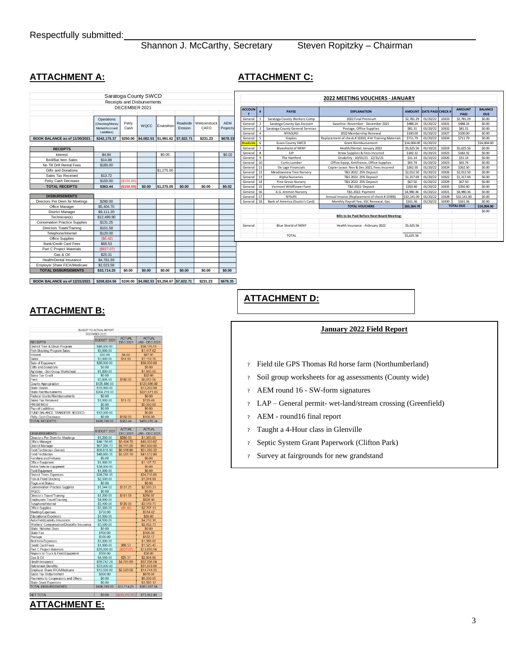Shannon J. McCarthy, Secretary Steven Ropitzky - Chairman

#### **ATTACHMENT A: ATTACHMENT C:**

|                                       |                                                                 | DECEMBER 2021 | Saratoga County SWCD<br>Receipts and Disbursements |                   |                     |                     |                        |
|---------------------------------------|-----------------------------------------------------------------|---------------|----------------------------------------------------|-------------------|---------------------|---------------------|------------------------|
|                                       | Operations<br>(Checking/Money<br>Market/Accrued<br>Liabilities) | Petty<br>Cash | <b>WQCC</b>                                        | <b>Envirothon</b> | Roadside<br>Frosion | Welcomstock<br>CAFO | <b>AEM</b><br>Projects |
| BOOK BALANCE as of 11/30/2021         | \$242,175.37                                                    | \$250.00      | \$4,082.53                                         | \$1.981.62        | \$7,822.71          | \$231.23            | \$678.33               |
| <b>RECEIPTS</b>                       |                                                                 |               |                                                    |                   |                     |                     |                        |
| Interest                              | \$4.84                                                          |               |                                                    | \$0.05            |                     |                     | \$0.02                 |
| <b>Bird/Bat Item Sales</b>            | \$14.88                                                         |               |                                                    |                   |                     |                     |                        |
| No Till Drill Rental Fees             | \$180.00                                                        |               |                                                    |                   |                     |                     |                        |
| Gifts and Donations                   |                                                                 |               |                                                    | \$1,275.00        |                     |                     |                        |
| Sales Tax Received                    | \$13.72                                                         |               |                                                    |                   |                     |                     |                        |
| Petty Cash Decrease                   | \$150.00                                                        | (S150.00)     |                                                    |                   |                     |                     |                        |
| <b>TOTAL RECEIPTS</b>                 | \$363.44                                                        | (\$150.00]    | \$0.00                                             | \$1,275.05        | \$0.00              | \$0.00              | \$0.02                 |
|                                       |                                                                 |               |                                                    |                   |                     |                     |                        |
| <b>DISBURSEMENTS</b>                  |                                                                 |               |                                                    |                   |                     |                     |                        |
| Directors Per Diem for Meetings       | \$280.00                                                        |               |                                                    |                   |                     |                     |                        |
| Office Manager                        | \$5,404.70                                                      |               |                                                    |                   |                     |                     |                        |
| <b>District Manager</b>               | \$9,111.20                                                      |               |                                                    |                   |                     |                     |                        |
| Technician(s)                         | \$12,499.90                                                     |               |                                                    |                   |                     |                     |                        |
| <b>Conservation Practice Supplies</b> | \$131.25                                                        |               |                                                    |                   |                     |                     |                        |
| Directors Travel/Training             | \$101.58                                                        |               |                                                    |                   |                     |                     |                        |
| Telephone/Internet                    | \$120.00                                                        |               |                                                    |                   |                     |                     |                        |
| <b>Office Supplies</b>                | (S6.42)                                                         |               |                                                    |                   |                     |                     |                        |
| <b>Bank/Credit Card Fees</b>          | \$68.53                                                         |               |                                                    |                   |                     |                     |                        |
| Part C Project Materials              | (S827.07)                                                       |               |                                                    |                   |                     |                     |                        |
| Gas & Oil                             | \$25.31                                                         |               |                                                    |                   |                     |                     |                        |
| Health/Dental Insurance               | \$4,781.69                                                      |               |                                                    |                   |                     |                     |                        |
| Employer Share FICA/Medicare          | \$2,023.58                                                      |               |                                                    |                   |                     |                     |                        |
| <b>TOTAL DISBURSEMENTS</b>            | \$33,714.25                                                     | \$0.00        | \$0.00                                             | \$0.00            | \$0.00              | \$0.00              | \$0.00                 |

| <b>2022 MEETING VOUCHERS - JANUARY</b> |                |                                  |                                                      |               |                          |                  |                              |                              |  |
|----------------------------------------|----------------|----------------------------------|------------------------------------------------------|---------------|--------------------------|------------------|------------------------------|------------------------------|--|
| <b>ACCOUN</b><br>т                     | #              | <b>PAYEE</b>                     | <b><i>EXPLANATION</i></b>                            | <b>AMOUNT</b> | <b>DATE PAID CHECK #</b> |                  | <b>AMOUNT</b><br><b>PAID</b> | <b>BALANCE</b><br><b>DUE</b> |  |
| General                                | 1              | Saratoga County Workers Comp     | 2022 Final Premium                                   | \$2,781.29    | 01/20/22                 | 10333            | \$2,781.29                   | \$0.00                       |  |
| General                                | $\overline{2}$ | Saratoga County Gas Account      | Gasoline: November - December 2021                   | \$488.24      | 01/20/22                 | 10331            | \$488.24                     | \$0.00                       |  |
| General                                | 3              | Saratoga County General Services | Postage, Office Supplies                             |               | 01/20/22                 | 10332            | \$81.31                      | \$0.00                       |  |
| General                                | 4              | NYAGI RO                         | 2022 Membership Renewal                              | \$100.00      | 01/20/22                 | 10327            | \$100.00                     | \$0.00                       |  |
| General                                | 5              | <b>Staples</b>                   | Replacement of check #10310, 4 Hr Training Materials | \$711.79      | 01/20/22                 | 10334            | \$711.79                     | \$0.00                       |  |
| Roadside                               | 6              | <b>Essex County SWCD</b>         | Grant Reimbursement                                  | \$14,004.00   | 01/20/22                 |                  |                              | \$14,004.00                  |  |
| General                                | $\overline{7}$ | <b>Blueshield of NENY</b>        | Health/Dental: January 2022                          | \$5,625.56    | 01/10/22                 | 10319            | \$5.625.56                   | \$0.00                       |  |
| General                                | s.             | FIP                              | Straw Supplies & Fees Incurred                       | \$182.32      | 01/20/22                 | 10325            | \$182.32                     | \$0.00                       |  |
| General                                | 9              | The Hartford                     | Disability: 10/01/21 - 12/31/21                      | \$31.14       | 01/10/22                 | 10320            | \$31.14                      | \$0.00                       |  |
| General                                | 10             | Curtis Lumber                    | Office Equip, Antifreeze, Office Supplies            | \$65.74       | 01/20/22                 | 10323            | \$65.74                      | \$0.00                       |  |
| General                                | 11             | De Lage Financials               | Copier Lease: Nov & Dec 2021, Fees Incurred          | \$262.50      | 01/20/22                 | 10324            | \$262.50                     | \$0.00                       |  |
| General                                | 12             | Meadowview Tree Nurserv          | T&S 2022: 25% Deposit                                | \$2,012.50    | 01/20/22                 | 10326            | \$2.012.50                   | \$0.00                       |  |
| General                                | 13             | Alpha Nurseries                  | T&S 2022: 25% Deposit                                | \$1,317.69    | 01/20/22                 | 10322            | \$1.317.69                   | \$0.00                       |  |
| General                                | 14             | Pine Grove Nurserv               | T&S 2022: 25% Deposit                                | \$67.50       | 01/20/22                 | 10329            | \$67.50                      | \$0.00                       |  |
| General                                | 15             | Vermont Wildflower Farm          | <b>T&amp;S 2022: Deposit</b>                         | \$350.40      | 01/20/22                 | 10335            | \$350.40                     | \$0.00                       |  |
| General                                | 16             | A.G. Ammon Nursery               | <b>T&amp;S 2022: Payment</b>                         | \$4,980.36    | 01/20/22                 | 10321            | \$4,980.36                   | \$0.00                       |  |
| General                                | 17             | <b>NYSLRS</b>                    | Annual Invoice (Replacement of check # 10306)        | \$32,141.00   | 01/20/22                 | 10328            | \$32,141.00                  | \$0.00                       |  |
| General                                | 18             | Bank of America (Dustin's Card)  | Monthly Payroll Fee, ESC Renewal, Gas                | \$161.36      | 01/20/22                 | 10330            | \$161.36                     | \$0.00                       |  |
|                                        |                |                                  | <b>TOTAL VOUCHERS</b>                                | \$65,364,70   |                          | <b>TOTAL DUE</b> |                              | \$14,004.00                  |  |
|                                        |                |                                  |                                                      |               |                          |                  |                              | \$0.00                       |  |
|                                        |                |                                  | Bills to be Paid Before Next Board Meeting:          |               |                          |                  |                              |                              |  |
| General                                |                | <b>Blue Shield of NENY</b>       | Health Insurance - February 2022                     | \$5,625.56    |                          |                  |                              |                              |  |
|                                        |                | <b>TOTAL</b>                     |                                                      | \$5,625.56    |                          |                  |                              |                              |  |

# **ATTACHMENT B:**

|                                                                              |                                          | $D$ . $L$ , $L$ , $R$ , $L$ , $L$ , $L$ , $L$ , $L$ , $L$ |                                                                                                                                                                                                                                                                                                                                                                                                                                                                                                                                                               |            |                     |                     |                 | ACCOUN<br>т         |                |
|------------------------------------------------------------------------------|------------------------------------------|-----------------------------------------------------------|---------------------------------------------------------------------------------------------------------------------------------------------------------------------------------------------------------------------------------------------------------------------------------------------------------------------------------------------------------------------------------------------------------------------------------------------------------------------------------------------------------------------------------------------------------------|------------|---------------------|---------------------|-----------------|---------------------|----------------|
|                                                                              | Operations                               |                                                           |                                                                                                                                                                                                                                                                                                                                                                                                                                                                                                                                                               |            |                     |                     |                 | General             |                |
|                                                                              | (Checking/Money<br>Market/Accrued        | Petty<br>Cash                                             | <b>WQCC</b>                                                                                                                                                                                                                                                                                                                                                                                                                                                                                                                                                   | Envirothon | Roadside<br>Erosion | Welcomstock<br>CAFO | AEM<br>Projects | General<br>General  |                |
|                                                                              | Liabilities)                             |                                                           |                                                                                                                                                                                                                                                                                                                                                                                                                                                                                                                                                               |            |                     |                     |                 | General             |                |
| BOOK BALANCE as of 11/30/2021                                                | \$242,175.37                             | \$250.00                                                  | \$4,082.53                                                                                                                                                                                                                                                                                                                                                                                                                                                                                                                                                    | \$1,981.62 | \$7,822.71          | \$231.23            | \$678.33        | General<br>Roadside |                |
| <b>RECEIPTS</b>                                                              |                                          |                                                           |                                                                                                                                                                                                                                                                                                                                                                                                                                                                                                                                                               |            |                     |                     |                 | General             |                |
| Interest                                                                     | \$4.84                                   |                                                           |                                                                                                                                                                                                                                                                                                                                                                                                                                                                                                                                                               | \$0.05     |                     |                     | \$0.02          | General<br>General  |                |
| Bird/Bat Item Sales<br>No Till Drill Rental Fees                             | \$14.88<br>\$180.00                      |                                                           |                                                                                                                                                                                                                                                                                                                                                                                                                                                                                                                                                               |            |                     |                     |                 | General             |                |
| Gifts and Donations                                                          |                                          |                                                           |                                                                                                                                                                                                                                                                                                                                                                                                                                                                                                                                                               | \$1,275.00 |                     |                     |                 | General             |                |
| Sales Tax Received                                                           | \$13.72                                  |                                                           |                                                                                                                                                                                                                                                                                                                                                                                                                                                                                                                                                               |            |                     |                     |                 | General<br>General  |                |
| Petty Cash Decrease<br><b>TOTAL RECEIPTS</b>                                 | \$150.00                                 | (\$150.00)                                                | \$0.00                                                                                                                                                                                                                                                                                                                                                                                                                                                                                                                                                        | \$1,275.05 | \$0.00              | \$0.00              | \$0.02          | General             |                |
|                                                                              | \$363.44                                 | (\$150.00)                                                |                                                                                                                                                                                                                                                                                                                                                                                                                                                                                                                                                               |            |                     |                     |                 | General<br>General  |                |
| <b>DISBURSEMENTS</b>                                                         |                                          |                                                           |                                                                                                                                                                                                                                                                                                                                                                                                                                                                                                                                                               |            |                     |                     |                 | General             |                |
| Directors Per Diem for Meetings<br>Office Manager                            | \$280.00<br>\$5,404.70                   |                                                           |                                                                                                                                                                                                                                                                                                                                                                                                                                                                                                                                                               |            |                     |                     |                 | General             |                |
| <b>District Manager</b>                                                      | \$9,111.20                               |                                                           |                                                                                                                                                                                                                                                                                                                                                                                                                                                                                                                                                               |            |                     |                     |                 |                     |                |
| Technician(s)                                                                | \$12,499.90                              |                                                           |                                                                                                                                                                                                                                                                                                                                                                                                                                                                                                                                                               |            |                     |                     |                 |                     |                |
| <b>Conservation Practice Supplies</b><br>Directors Travel/Training           | \$131.25<br>\$101.58                     |                                                           |                                                                                                                                                                                                                                                                                                                                                                                                                                                                                                                                                               |            |                     |                     |                 | General             |                |
| Telephone/Internet                                                           | \$120.00                                 |                                                           |                                                                                                                                                                                                                                                                                                                                                                                                                                                                                                                                                               |            |                     |                     |                 |                     |                |
| Office Supplies                                                              | (\$6.42)                                 |                                                           |                                                                                                                                                                                                                                                                                                                                                                                                                                                                                                                                                               |            |                     |                     |                 |                     |                |
| Bank/Credit Card Fees                                                        | \$68.53                                  |                                                           |                                                                                                                                                                                                                                                                                                                                                                                                                                                                                                                                                               |            |                     |                     |                 |                     |                |
| Part C Project Materials<br>Gas & Oil                                        | (\$827.07)<br>\$25.31                    |                                                           |                                                                                                                                                                                                                                                                                                                                                                                                                                                                                                                                                               |            |                     |                     |                 |                     |                |
| Health/Dental Insurance                                                      | \$4,781.69                               |                                                           |                                                                                                                                                                                                                                                                                                                                                                                                                                                                                                                                                               |            |                     |                     |                 |                     |                |
| Employer Share FICA/Medicare                                                 | \$2,023.58                               |                                                           |                                                                                                                                                                                                                                                                                                                                                                                                                                                                                                                                                               |            |                     |                     |                 |                     |                |
| <b>TOTAL DISBURSEMENTS</b>                                                   | \$33,714.25                              | \$0.00                                                    | \$0.00                                                                                                                                                                                                                                                                                                                                                                                                                                                                                                                                                        | \$0.00     | \$0.00              | \$0.00              | \$0.00          |                     |                |
| BOOK BALANCE as of 12/31/2021                                                | \$208,824.56                             |                                                           | \$100.00 \$4,082.53 \$3,256.67 \$7,822.71                                                                                                                                                                                                                                                                                                                                                                                                                                                                                                                     |            |                     | \$231.23            | \$678.35        |                     |                |
| ATTACHMENT B:                                                                |                                          |                                                           |                                                                                                                                                                                                                                                                                                                                                                                                                                                                                                                                                               |            |                     |                     |                 |                     |                |
|                                                                              | BUDGET TO ACTUAL REPORT<br>DECEMBER 2021 |                                                           |                                                                                                                                                                                                                                                                                                                                                                                                                                                                                                                                                               |            |                     |                     |                 |                     |                |
| <b>RECEPTS</b>                                                               | BUDGET 2021                              | <b>ACTUAL</b><br><b>DEC 2021</b>                          | <b>ACTUAL</b><br><b>JAN - DEC 2021</b>                                                                                                                                                                                                                                                                                                                                                                                                                                                                                                                        |            |                     |                     |                 |                     |                |
| District Tree & Shrub Program                                                | \$40,000.00                              |                                                           | \$38,170.51                                                                                                                                                                                                                                                                                                                                                                                                                                                                                                                                                   |            |                     |                     |                 |                     |                |
| Fish Stocking Program Sales<br>Interest                                      | \$3,000.00<br>\$80.00                    | \$4.84                                                    | \$1,417.62<br>\$87.91                                                                                                                                                                                                                                                                                                                                                                                                                                                                                                                                         |            |                     |                     |                 |                     |                |
| Sales<br>Sale of Equipment                                                   | \$3,000.00<br>\$26,000.00                | \$14.88                                                   | \$1,119.76<br>\$38,600.00                                                                                                                                                                                                                                                                                                                                                                                                                                                                                                                                     |            |                     |                     |                 |                     | I              |
| Gifts and Donations                                                          | \$0.00                                   |                                                           | \$0.00                                                                                                                                                                                                                                                                                                                                                                                                                                                                                                                                                        |            |                     |                     |                 | ?                   |                |
| Ag Value - Soil Group Worksheet<br>Sales Tax Credit                          | \$1,800.00<br>\$0.00                     |                                                           | \$1,640.00<br>\$32.66                                                                                                                                                                                                                                                                                                                                                                                                                                                                                                                                         |            |                     |                     |                 | ?                   | S              |
| Fees<br>County Appropriation                                                 | \$3,805.00<br>\$125,886.00               | \$180.00                                                  | \$6,812.56<br>\$125,886.00                                                                                                                                                                                                                                                                                                                                                                                                                                                                                                                                    |            |                     |                     |                 |                     |                |
| State Grants<br>State Reimbursements                                         | \$15,960.00<br>\$204,218.00              |                                                           | \$13,202.00<br>\$221,871.83                                                                                                                                                                                                                                                                                                                                                                                                                                                                                                                                   |            |                     |                     |                 | ?                   | $\overline{I}$ |
| Federal Grants/Reimbursements                                                | \$0.00                                   |                                                           | \$0.00                                                                                                                                                                                                                                                                                                                                                                                                                                                                                                                                                        |            |                     |                     |                 |                     |                |
| Sales Tax Received<br>PRISM MOU                                              | \$1.000.00<br>\$0.00                     | \$13.72                                                   | \$729.49<br>\$5,500.00                                                                                                                                                                                                                                                                                                                                                                                                                                                                                                                                        |            |                     |                     |                 | ?                   | I              |
| Payroll Liablilities<br>FUND BALANCE TRANSFER NEEDED                         | \$0.00<br>\$12,000.00                    |                                                           | \$0.00<br>\$0.00                                                                                                                                                                                                                                                                                                                                                                                                                                                                                                                                              |            |                     |                     |                 |                     |                |
| Petty Cash Decrease                                                          | \$0.00                                   | \$150.00                                                  | \$150.00                                                                                                                                                                                                                                                                                                                                                                                                                                                                                                                                                      |            |                     |                     |                 | ?                   | $\overline{I}$ |
| <b>TOTAL RECEIPTS</b>                                                        | \$436,749.00                             | \$363.44                                                  | \$455,070.34                                                                                                                                                                                                                                                                                                                                                                                                                                                                                                                                                  |            |                     |                     |                 |                     |                |
| <b>DISBURSEMENTS</b>                                                         | BUDGET 2021                              | <b>ACTUAL</b><br><b>DEC 2021</b>                          | <b>ACTUAL</b><br><b>JAN - DEC 2021</b>                                                                                                                                                                                                                                                                                                                                                                                                                                                                                                                        |            |                     |                     |                 |                     | Γ              |
| Directors Per Diem for Meetings                                              | \$1,200.00                               | \$280.00                                                  | \$1,060.00                                                                                                                                                                                                                                                                                                                                                                                                                                                                                                                                                    |            |                     |                     |                 |                     |                |
| Office Manager<br><b>District Manager</b>                                    | \$40,156.65<br>\$67,086.73               | \$5,404.70<br>\$9,111.20                                  | \$40,303.62<br>\$67,860.00                                                                                                                                                                                                                                                                                                                                                                                                                                                                                                                                    |            |                     |                     |                 | ?                   |                |
| Field Technician (Senior)<br>Field Technician                                | \$50,816.90<br>\$40,866.31               | \$6,918.80<br>\$5,581.10                                  | \$51,280.32<br>\$41,512.80                                                                                                                                                                                                                                                                                                                                                                                                                                                                                                                                    |            |                     |                     |                 |                     |                |
| Furniture and Fixtures                                                       | \$0.00<br>\$1,000.00                     |                                                           | \$0.00<br>\$1,137.72                                                                                                                                                                                                                                                                                                                                                                                                                                                                                                                                          |            |                     |                     |                 | ?                   | Š              |
| Office Equipment<br>Motor Vehicle Equipment                                  | \$38,000.00                              |                                                           | \$0.00                                                                                                                                                                                                                                                                                                                                                                                                                                                                                                                                                        |            |                     |                     |                 |                     |                |
| Field Equipment<br><b>District Trees Expenses</b>                            | \$1,000.00<br>\$28,786.15                |                                                           | \$0.00<br>\$24.710.85                                                                                                                                                                                                                                                                                                                                                                                                                                                                                                                                         |            |                     |                     |                 |                     |                |
| Fish & Pond Stocking<br>Flags and Stakes                                     | \$2,500.00<br>\$0.00                     |                                                           | \$1,074.99<br>\$0.00                                                                                                                                                                                                                                                                                                                                                                                                                                                                                                                                          |            |                     |                     |                 |                     |                |
| <b>Conservation Practice Supplies</b>                                        | \$1,544.02                               | \$131.25                                                  | \$2.039.33                                                                                                                                                                                                                                                                                                                                                                                                                                                                                                                                                    |            |                     |                     |                 |                     |                |
| WQCC<br>Directors Travel/Training                                            | \$0.00<br>\$1,200.00                     | \$101.58                                                  | \$0.00<br>\$290.97                                                                                                                                                                                                                                                                                                                                                                                                                                                                                                                                            |            |                     |                     |                 |                     |                |
| Employees Travel/Training<br>Telephone/Internet                              | \$4,000.00<br>\$3,400.00                 | \$120.00                                                  | \$828.96<br>\$3,518.75                                                                                                                                                                                                                                                                                                                                                                                                                                                                                                                                        |            |                     |                     |                 |                     |                |
| Office Supplies                                                              | \$3,300.00<br>\$750.00                   |                                                           | \$2,797.13<br>\$514.42                                                                                                                                                                                                                                                                                                                                                                                                                                                                                                                                        |            |                     |                     |                 |                     |                |
| Meeting Expenses<br><b>Educational Expenses</b>                              | \$1,500.00                               |                                                           | \$20.00                                                                                                                                                                                                                                                                                                                                                                                                                                                                                                                                                       |            |                     |                     |                 |                     |                |
| Auto/Field/Liability Insurance<br>Workers' Compensation/Disability Insurance | \$4,500.00<br>\$3,500.00                 |                                                           | \$4,710.16<br>\$2,652.73                                                                                                                                                                                                                                                                                                                                                                                                                                                                                                                                      |            |                     |                     |                 |                     |                |
| State, National Dues<br>State Fair                                           | \$0.00<br>\$100.00                       |                                                           | \$0.00<br>\$100.00                                                                                                                                                                                                                                                                                                                                                                                                                                                                                                                                            |            |                     |                     |                 |                     |                |
| Postage                                                                      | \$500.00                                 |                                                           | \$132.17                                                                                                                                                                                                                                                                                                                                                                                                                                                                                                                                                      |            |                     |                     |                 |                     |                |
| <b>Bird Item Expenses</b><br>Credit Card Fees                                | \$1,000.00<br>\$1,000.00                 | \$68.53                                                   | \$1,566.00<br>\$1,525.45                                                                                                                                                                                                                                                                                                                                                                                                                                                                                                                                      |            |                     |                     |                 |                     |                |
| Part C Project Materials                                                     | \$25,000.00<br>\$500.00                  |                                                           | \$13,850.54<br>\$30.00                                                                                                                                                                                                                                                                                                                                                                                                                                                                                                                                        |            |                     |                     |                 |                     |                |
| Repairs to Truck & Field Equipment<br>Gas & Oil                              | \$4,500.00                               | \$25.31                                                   | \$2 864 98                                                                                                                                                                                                                                                                                                                                                                                                                                                                                                                                                    |            |                     |                     |                 |                     |                |
| Health Insurance<br><b>Retirement Benefits</b>                               | \$59,742.24<br>\$33,000.00               | \$4,781.69                                                | \$57,786.54<br>\$31,878.00                                                                                                                                                                                                                                                                                                                                                                                                                                                                                                                                    |            |                     |                     |                 |                     |                |
| Employer Share FICA/Medicare<br>Sales Tax Disbursement                       | \$15,500.00<br>\$800.00                  | \$2,023.58                                                | \$14,744.35<br>\$678.04                                                                                                                                                                                                                                                                                                                                                                                                                                                                                                                                       |            |                     |                     |                 |                     |                |
| Payments to Cooperators and Others                                           | \$0.00                                   |                                                           | \$6,039.00                                                                                                                                                                                                                                                                                                                                                                                                                                                                                                                                                    |            |                     |                     |                 |                     |                |
| State Grant Expenses<br><b>TOTAL DISBURSEMENTS</b>                           | \$0.00<br>\$436,749.00                   | \$33,714.25                                               | \$3.580<br>\$381,087.94                                                                                                                                                                                                                                                                                                                                                                                                                                                                                                                                       |            |                     |                     |                 |                     |                |
| <b>NET TOTAL</b>                                                             | \$0.00                                   |                                                           | $\left  \frac{1}{2} \right  \left  \frac{1}{2} \right  \left  \right  \left  \right  \left  \right  \left  \right  \left  \right  \left  \right  \left  \right  \left  \right  \left  \right  \left  \right  \left  \right  \left  \right  \left  \right  \left  \right  \left  \right  \left  \right  \left  \right  \left  \right  \left  \right  \left  \right  \left  \right  \left  \right  \left  \right  \left  \right  \left  \right  \left  \right  \left  \right  \left  \right  \left  \right  \left  \right  \left  \right  \left  \right  \left$ |            |                     |                     |                 |                     |                |
|                                                                              |                                          |                                                           |                                                                                                                                                                                                                                                                                                                                                                                                                                                                                                                                                               |            |                     |                     |                 |                     |                |
| <b>ATTACHMENT E:</b>                                                         |                                          |                                                           |                                                                                                                                                                                                                                                                                                                                                                                                                                                                                                                                                               |            |                     |                     |                 |                     |                |

# **ATTACHMENT D:**

#### **January 2022 Field Report**

- ? Field tile GPS Thomas Rd horse farm (Northumberland)
- ? Soil group worksheets for ag assessments (County wide)
- ? AEM round 16 SW-form signatures
- ? LAP General permit- wet-land/stream crossing (Greenfield)
- ? AEM round16 final report
- ? Taught a 4-Hour class in Glenville
- ? Septic System Grant Paperwork (Clifton Park)
- ? Survey at fairgrounds for new grandstand